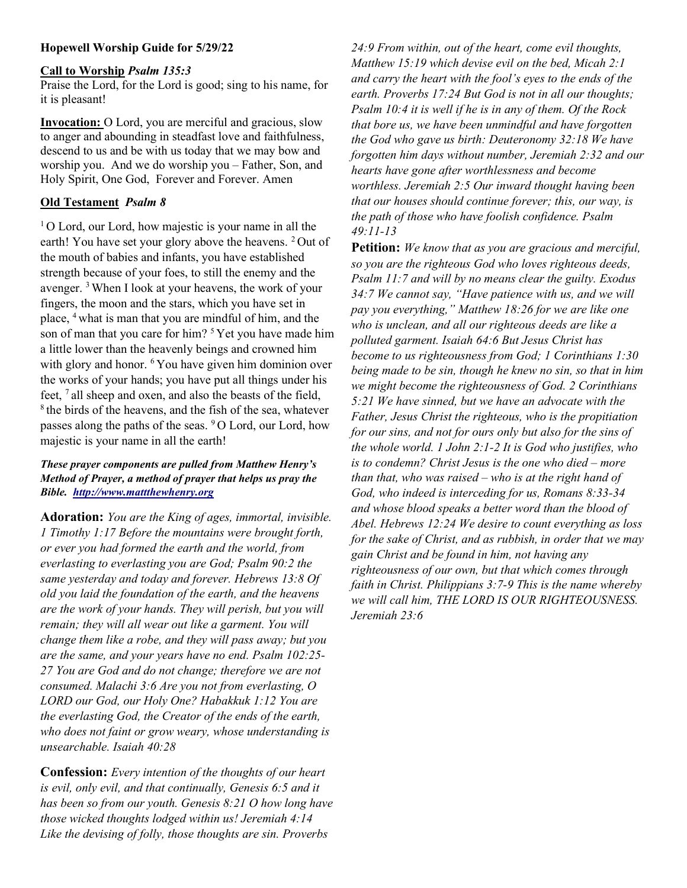## Hopewell Worship Guide for 5/29/22

## Call to Worship Psalm 135:3

Praise the Lord, for the Lord is good; sing to his name, for it is pleasant!

Invocation: O Lord, you are merciful and gracious, slow to anger and abounding in steadfast love and faithfulness, descend to us and be with us today that we may bow and worship you. And we do worship you – Father, Son, and Holy Spirit, One God, Forever and Forever. Amen

## Old Testament Psalm 8

<sup>1</sup>O Lord, our Lord, how majestic is your name in all the earth! You have set your glory above the heavens. <sup>2</sup> Out of the mouth of babies and infants, you have established strength because of your foes, to still the enemy and the avenger. <sup>3</sup>When I look at your heavens, the work of your fingers, the moon and the stars, which you have set in place, <sup>4</sup>what is man that you are mindful of him, and the son of man that you care for him?  $5$  Yet you have made him a little lower than the heavenly beings and crowned him with glory and honor. <sup>6</sup> You have given him dominion over the works of your hands; you have put all things under his feet, <sup>7</sup>all sheep and oxen, and also the beasts of the field,  $8$ <sup>8</sup> the birds of the heavens, and the fish of the sea, whatever passes along the paths of the seas. <sup>9</sup>O Lord, our Lord, how majestic is your name in all the earth!

## These prayer components are pulled from Matthew Henry's Method of Prayer, a method of prayer that helps us pray the Bible. http://www.mattthewhenry.org

Adoration: You are the King of ages, immortal, invisible. 1 Timothy 1:17 Before the mountains were brought forth, or ever you had formed the earth and the world, from everlasting to everlasting you are God; Psalm 90:2 the same yesterday and today and forever. Hebrews 13:8 Of old you laid the foundation of the earth, and the heavens are the work of your hands. They will perish, but you will remain; they will all wear out like a garment. You will change them like a robe, and they will pass away; but you are the same, and your years have no end. Psalm 102:25- 27 You are God and do not change; therefore we are not consumed. Malachi 3:6 Are you not from everlasting, O LORD our God, our Holy One? Habakkuk 1:12 You are the everlasting God, the Creator of the ends of the earth, who does not faint or grow weary, whose understanding is unsearchable. Isaiah 40:28

Confession: Every intention of the thoughts of our heart is evil, only evil, and that continually, Genesis 6:5 and it has been so from our youth. Genesis 8:21 O how long have those wicked thoughts lodged within us! Jeremiah 4:14 Like the devising of folly, those thoughts are sin. Proverbs

24:9 From within, out of the heart, come evil thoughts, Matthew 15:19 which devise evil on the bed, Micah 2:1 and carry the heart with the fool's eyes to the ends of the earth. Proverbs 17:24 But God is not in all our thoughts; Psalm 10:4 it is well if he is in any of them. Of the Rock that bore us, we have been unmindful and have forgotten the God who gave us birth: Deuteronomy 32:18 We have forgotten him days without number, Jeremiah 2:32 and our hearts have gone after worthlessness and become worthless. Jeremiah 2:5 Our inward thought having been that our houses should continue forever; this, our way, is the path of those who have foolish confidence. Psalm 49:11-13

Petition: We know that as you are gracious and merciful, so you are the righteous God who loves righteous deeds, Psalm 11:7 and will by no means clear the guilty. Exodus 34:7 We cannot say, "Have patience with us, and we will pay you everything," Matthew 18:26 for we are like one who is unclean, and all our righteous deeds are like a polluted garment. Isaiah 64:6 But Jesus Christ has become to us righteousness from God; 1 Corinthians 1:30 being made to be sin, though he knew no sin, so that in him we might become the righteousness of God. 2 Corinthians 5:21 We have sinned, but we have an advocate with the Father, Jesus Christ the righteous, who is the propitiation for our sins, and not for ours only but also for the sins of the whole world. 1 John 2:1-2 It is God who justifies, who is to condemn? Christ Jesus is the one who died – more than that, who was raised – who is at the right hand of God, who indeed is interceding for us, Romans 8:33-34 and whose blood speaks a better word than the blood of Abel. Hebrews 12:24 We desire to count everything as loss for the sake of Christ, and as rubbish, in order that we may gain Christ and be found in him, not having any righteousness of our own, but that which comes through faith in Christ. Philippians 3:7-9 This is the name whereby we will call him, THE LORD IS OUR RIGHTEOUSNESS. Jeremiah 23:6